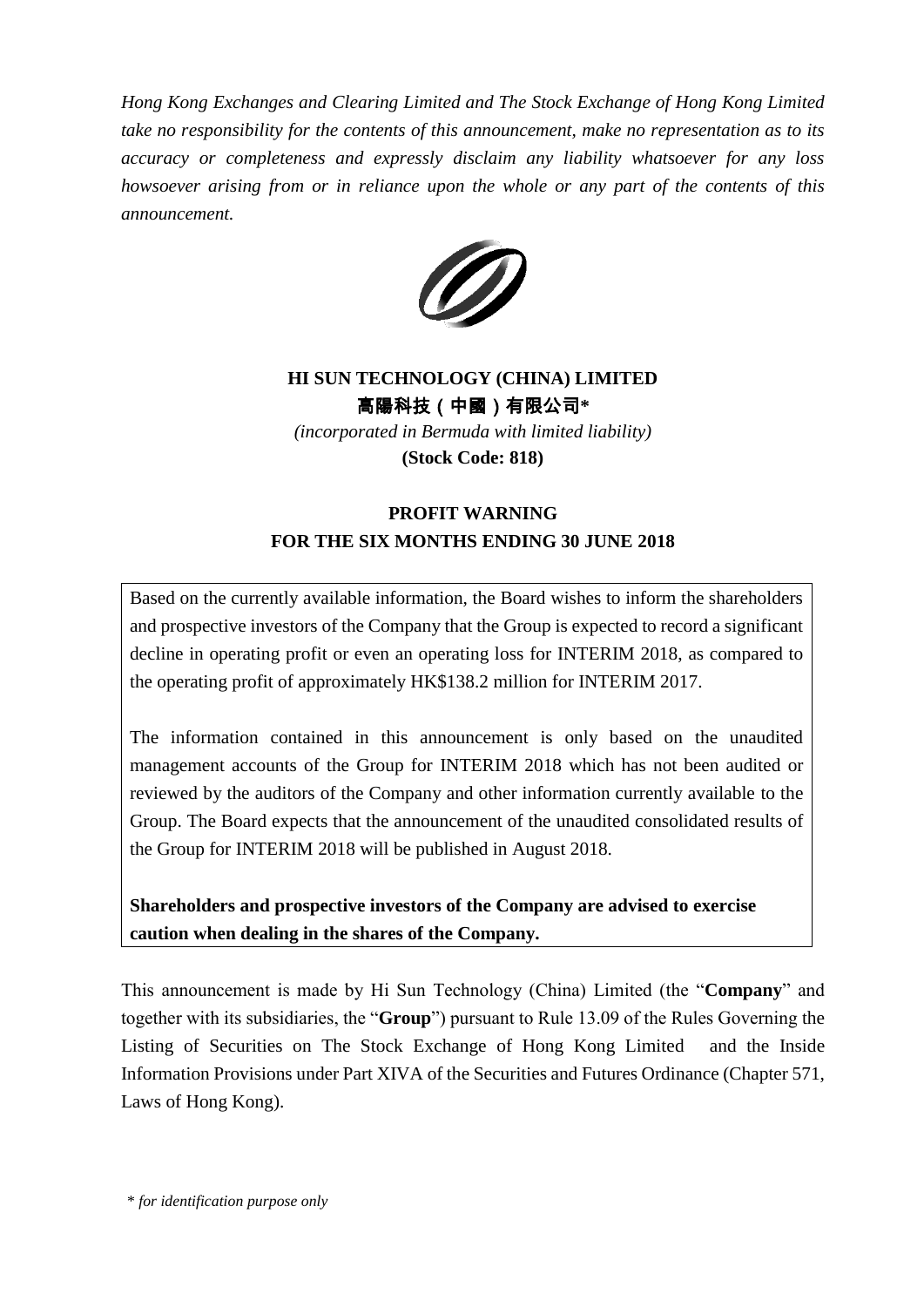*Hong Kong Exchanges and Clearing Limited and The Stock Exchange of Hong Kong Limited take no responsibility for the contents of this announcement, make no representation as to its accuracy or completeness and expressly disclaim any liability whatsoever for any loss howsoever arising from or in reliance upon the whole or any part of the contents of this announcement.*



## **HI SUN TECHNOLOGY (CHINA) LIMITED** 高陽科技(中國)有限公司**\***

*(incorporated in Bermuda with limited liability)* **(Stock Code: 818)**

## **PROFIT WARNING FOR THE SIX MONTHS ENDING 30 JUNE 2018**

Based on the currently available information, the Board wishes to inform the shareholders and prospective investors of the Company that the Group is expected to record a significant decline in operating profit or even an operating loss for INTERIM 2018, as compared to the operating profit of approximately HK\$138.2 million for INTERIM 2017.

The information contained in this announcement is only based on the unaudited management accounts of the Group for INTERIM 2018 which has not been audited or reviewed by the auditors of the Company and other information currently available to the Group. The Board expects that the announcement of the unaudited consolidated results of the Group for INTERIM 2018 will be published in August 2018.

**Shareholders and prospective investors of the Company are advised to exercise caution when dealing in the shares of the Company.**

This announcement is made by Hi Sun Technology (China) Limited (the "**Company**" and together with its subsidiaries, the "**Group**") pursuant to Rule 13.09 of the Rules Governing the Listing of Securities on The Stock Exchange of Hong Kong Limited and the Inside Information Provisions under Part XIVA of the Securities and Futures Ordinance (Chapter 571, Laws of Hong Kong).